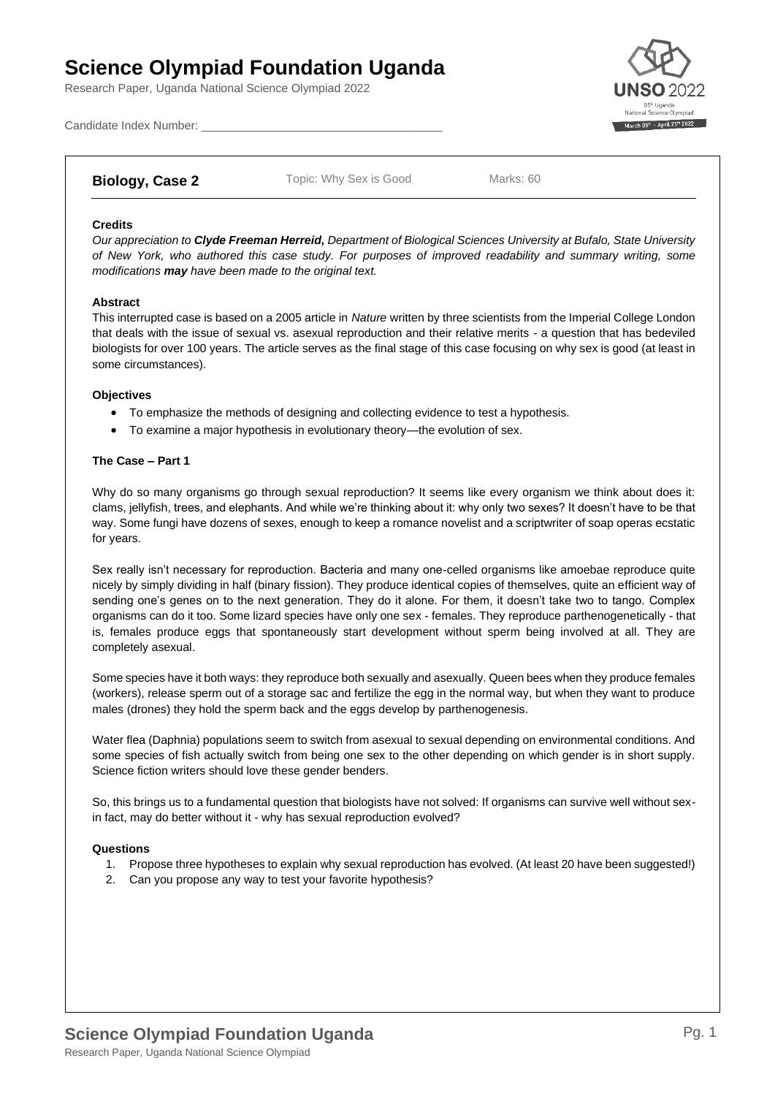# **Science Olympiad Foundation Uganda**

Research Paper, Uganda National Science Olympiad 2022



Candidate Index Number:

## **Biology, Case 2** Topic: Why Sex is Good Marks: 60

## **Credits**

*Our appreciation to Clyde Freeman Herreid, Department of Biological Sciences University at Bufalo, State University of New York, who authored this case study. For purposes of improved readability and summary writing, some modifications may have been made to the original text.*

### **Abstract**

This interrupted case is based on a 2005 article in *Nature* written by three scientists from the Imperial College London that deals with the issue of sexual vs. asexual reproduction and their relative merits - a question that has bedeviled biologists for over 100 years. The article serves as the final stage of this case focusing on why sex is good (at least in some circumstances).

### **Objectives**

- To emphasize the methods of designing and collecting evidence to test a hypothesis.
- To examine a major hypothesis in evolutionary theory—the evolution of sex.

### **The Case – Part 1**

Why do so many organisms go through sexual reproduction? It seems like every organism we think about does it: clams, jellyfish, trees, and elephants. And while we're thinking about it: why only two sexes? It doesn't have to be that way. Some fungi have dozens of sexes, enough to keep a romance novelist and a scriptwriter of soap operas ecstatic for years.

Sex really isn't necessary for reproduction. Bacteria and many one-celled organisms like amoebae reproduce quite nicely by simply dividing in half (binary fission). They produce identical copies of themselves, quite an efficient way of sending one's genes on to the next generation. They do it alone. For them, it doesn't take two to tango. Complex organisms can do it too. Some lizard species have only one sex - females. They reproduce parthenogenetically - that is, females produce eggs that spontaneously start development without sperm being involved at all. They are completely asexual.

Some species have it both ways: they reproduce both sexually and asexually. Queen bees when they produce females (workers), release sperm out of a storage sac and fertilize the egg in the normal way, but when they want to produce males (drones) they hold the sperm back and the eggs develop by parthenogenesis.

Water flea (Daphnia) populations seem to switch from asexual to sexual depending on environmental conditions. And some species of fish actually switch from being one sex to the other depending on which gender is in short supply. Science fiction writers should love these gender benders.

So, this brings us to a fundamental question that biologists have not solved: If organisms can survive well without sexin fact, may do better without it - why has sexual reproduction evolved?

## **Questions**

- 1. Propose three hypotheses to explain why sexual reproduction has evolved. (At least 20 have been suggested!)
- 2. Can you propose any way to test your favorite hypothesis?